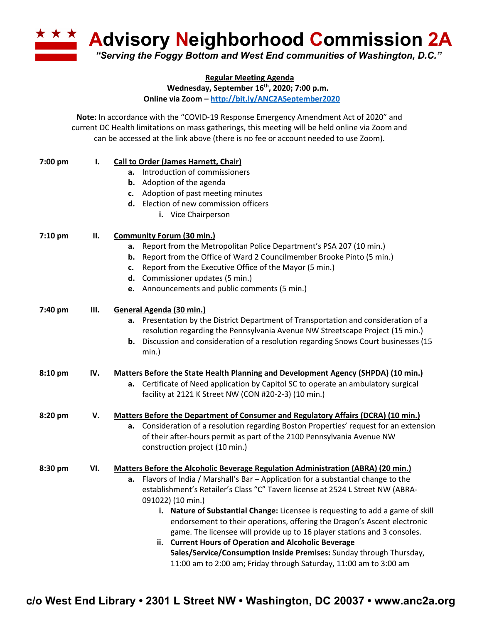**<u><b>Advisory Neighborhood Commission 2A**</u> *"Serving the Foggy Bottom and West End communities of Washington, D.C."*

**Regular Meeting Agenda**

**Wednesday, September 16th, 2020; 7:00 p.m.**

**Online via Zoom – http://bit.ly/ANC2ASeptember2020**

**Note:** In accordance with the "COVID-19 Response Emergency Amendment Act of 2020" and current DC Health limitations on mass gatherings, this meeting will be held online via Zoom and can be accessed at the link above (there is no fee or account needed to use Zoom).

| 7:00 pm | ı.  | <b>Call to Order (James Harnett, Chair)</b>                                              |
|---------|-----|------------------------------------------------------------------------------------------|
|         |     | a. Introduction of commissioners                                                         |
|         |     | Adoption of the agenda<br>b.                                                             |
|         |     | c. Adoption of past meeting minutes                                                      |
|         |     | d. Election of new commission officers                                                   |
|         |     | i. Vice Chairperson                                                                      |
| 7:10 pm | П.  | <b>Community Forum (30 min.)</b>                                                         |
|         |     | a. Report from the Metropolitan Police Department's PSA 207 (10 min.)                    |
|         |     | <b>b.</b> Report from the Office of Ward 2 Councilmember Brooke Pinto (5 min.)           |
|         |     | Report from the Executive Office of the Mayor (5 min.)<br>c.                             |
|         |     | d. Commissioner updates (5 min.)                                                         |
|         |     | e. Announcements and public comments (5 min.)                                            |
| 7:40 pm | Ш.  | General Agenda (30 min.)                                                                 |
|         |     | a. Presentation by the District Department of Transportation and consideration of a      |
|         |     | resolution regarding the Pennsylvania Avenue NW Streetscape Project (15 min.)            |
|         |     | Discussion and consideration of a resolution regarding Snows Court businesses (15<br>b.  |
|         |     | min.)                                                                                    |
| 8:10 pm | IV. | <b>Matters Before the State Health Planning and Development Agency (SHPDA) (10 min.)</b> |
|         |     | Certificate of Need application by Capitol SC to operate an ambulatory surgical<br>а.    |
|         |     | facility at 2121 K Street NW (CON #20-2-3) (10 min.)                                     |
| 8:20 pm | v.  | <b>Matters Before the Department of Consumer and Regulatory Affairs (DCRA) (10 min.)</b> |
|         |     | a. Consideration of a resolution regarding Boston Properties' request for an extension   |
|         |     | of their after-hours permit as part of the 2100 Pennsylvania Avenue NW                   |
|         |     | construction project (10 min.)                                                           |
| 8:30 pm | VI. | <b>Matters Before the Alcoholic Beverage Regulation Administration (ABRA) (20 min.)</b>  |
|         |     | a. Flavors of India / Marshall's Bar - Application for a substantial change to the       |
|         |     | establishment's Retailer's Class "C" Tavern license at 2524 L Street NW (ABRA-           |
|         |     | 091022) (10 min.)                                                                        |
|         |     | i. Nature of Substantial Change: Licensee is requesting to add a game of skill           |
|         |     | endorsement to their operations, offering the Dragon's Ascent electronic                 |
|         |     | game. The licensee will provide up to 16 player stations and 3 consoles.                 |
|         |     | ii. Current Hours of Operation and Alcoholic Beverage                                    |
|         |     | Sales/Service/Consumption Inside Premises: Sunday through Thursday,                      |
|         |     | 11:00 am to 2:00 am; Friday through Saturday, 11:00 am to 3:00 am                        |